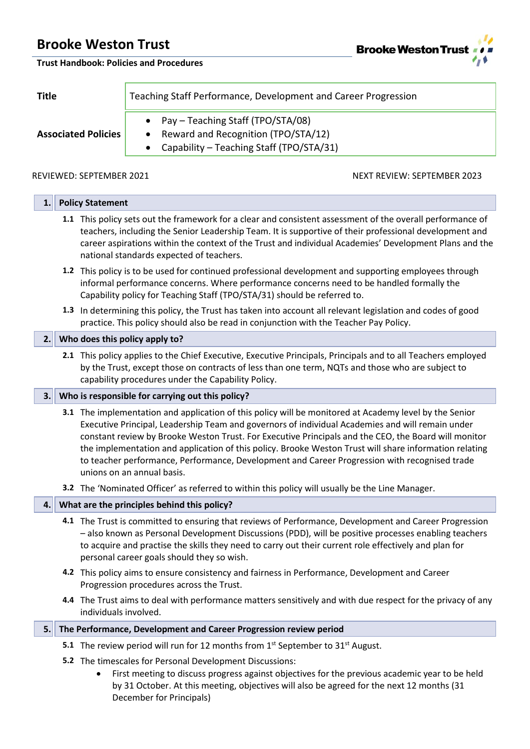**Brooke Weston Trust** 

**Trust Handbook: Policies and Procedures**

**Title** Teaching Staff Performance, Development and Career Progression

- Pay Teaching Staff (TPO/STA/08)
- **Associated Policies**
- Reward and Recognition (TPO/STA/12)
- Capability Teaching Staff (TPO/STA/31)

### REVIEWED: SEPTEMBER 2021 NEXT REVIEW: SEPTEMBER 2023

| 1.  | <b>Policy Statement</b>                                                                                                                                                                                                                                                                                                                                                                                                                                                                                                                                     |
|-----|-------------------------------------------------------------------------------------------------------------------------------------------------------------------------------------------------------------------------------------------------------------------------------------------------------------------------------------------------------------------------------------------------------------------------------------------------------------------------------------------------------------------------------------------------------------|
|     | 1.1 This policy sets out the framework for a clear and consistent assessment of the overall performance of<br>teachers, including the Senior Leadership Team. It is supportive of their professional development and<br>career aspirations within the context of the Trust and individual Academies' Development Plans and the<br>national standards expected of teachers.                                                                                                                                                                                  |
|     | 1.2 This policy is to be used for continued professional development and supporting employees through<br>informal performance concerns. Where performance concerns need to be handled formally the<br>Capability policy for Teaching Staff (TPO/STA/31) should be referred to.                                                                                                                                                                                                                                                                              |
|     | 1.3 In determining this policy, the Trust has taken into account all relevant legislation and codes of good<br>practice. This policy should also be read in conjunction with the Teacher Pay Policy.                                                                                                                                                                                                                                                                                                                                                        |
| 2.1 | Who does this policy apply to?                                                                                                                                                                                                                                                                                                                                                                                                                                                                                                                              |
|     | 2.1 This policy applies to the Chief Executive, Executive Principals, Principals and to all Teachers employed<br>by the Trust, except those on contracts of less than one term, NQTs and those who are subject to<br>capability procedures under the Capability Policy.                                                                                                                                                                                                                                                                                     |
| 3.  | Who is responsible for carrying out this policy?                                                                                                                                                                                                                                                                                                                                                                                                                                                                                                            |
|     | 3.1 The implementation and application of this policy will be monitored at Academy level by the Senior<br>Executive Principal, Leadership Team and governors of individual Academies and will remain under<br>constant review by Brooke Weston Trust. For Executive Principals and the CEO, the Board will monitor<br>the implementation and application of this policy. Brooke Weston Trust will share information relating<br>to teacher performance, Performance, Development and Career Progression with recognised trade<br>unions on an annual basis. |
|     | 3.2 The 'Nominated Officer' as referred to within this policy will usually be the Line Manager.                                                                                                                                                                                                                                                                                                                                                                                                                                                             |
| 4.  | What are the principles behind this policy?                                                                                                                                                                                                                                                                                                                                                                                                                                                                                                                 |
|     | 4.1 The Trust is committed to ensuring that reviews of Performance, Development and Career Progression<br>- also known as Personal Development Discussions (PDD), will be positive processes enabling teachers<br>to acquire and practise the skills they need to carry out their current role effectively and plan for<br>personal career goals should they so wish.                                                                                                                                                                                       |
|     | 4.2 This policy aims to ensure consistency and fairness in Performance, Development and Career<br>Progression procedures across the Trust.                                                                                                                                                                                                                                                                                                                                                                                                                  |
|     | 4.4 The Trust aims to deal with performance matters sensitively and with due respect for the privacy of any<br>individuals involved.                                                                                                                                                                                                                                                                                                                                                                                                                        |
| 5.  | The Performance, Development and Career Progression review period                                                                                                                                                                                                                                                                                                                                                                                                                                                                                           |
|     | 5.1 The review period will run for 12 months from 1 <sup>st</sup> September to 31 <sup>st</sup> August.                                                                                                                                                                                                                                                                                                                                                                                                                                                     |
|     |                                                                                                                                                                                                                                                                                                                                                                                                                                                                                                                                                             |

- **5.2** The timescales for Personal Development Discussions:
	- First meeting to discuss progress against objectives for the previous academic year to be held by 31 October. At this meeting, objectives will also be agreed for the next 12 months (31 December for Principals)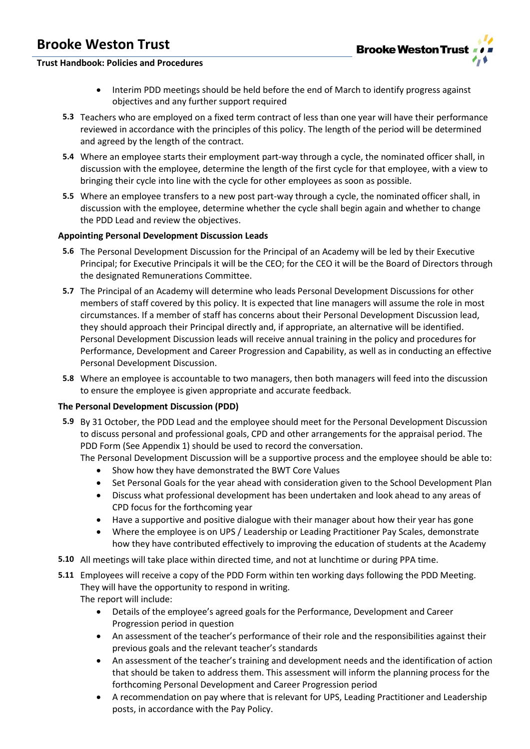

### **Trust Handbook: Policies and Procedures**

- Interim PDD meetings should be held before the end of March to identify progress against objectives and any further support required
- **5.3** Teachers who are employed on a fixed term contract of less than one year will have their performance reviewed in accordance with the principles of this policy. The length of the period will be determined and agreed by the length of the contract.
- **5.4** Where an employee starts their employment part-way through a cycle, the nominated officer shall, in discussion with the employee, determine the length of the first cycle for that employee, with a view to bringing their cycle into line with the cycle for other employees as soon as possible.
- **5.5** Where an employee transfers to a new post part-way through a cycle, the nominated officer shall, in discussion with the employee, determine whether the cycle shall begin again and whether to change the PDD Lead and review the objectives.

### **Appointing Personal Development Discussion Leads**

- **5.6** The Personal Development Discussion for the Principal of an Academy will be led by their Executive Principal; for Executive Principals it will be the CEO; for the CEO it will be the Board of Directors through the designated Remunerations Committee.
- **5.7** The Principal of an Academy will determine who leads Personal Development Discussions for other members of staff covered by this policy. It is expected that line managers will assume the role in most circumstances. If a member of staff has concerns about their Personal Development Discussion lead, they should approach their Principal directly and, if appropriate, an alternative will be identified. Personal Development Discussion leads will receive annual training in the policy and procedures for Performance, Development and Career Progression and Capability, as well as in conducting an effective Personal Development Discussion.
- **5.8** Where an employee is accountable to two managers, then both managers will feed into the discussion to ensure the employee is given appropriate and accurate feedback.

#### **The Personal Development Discussion (PDD)**

**5.9** By 31 October, the PDD Lead and the employee should meet for the Personal Development Discussion to discuss personal and professional goals, CPD and other arrangements for the appraisal period. The PDD Form (See Appendix 1) should be used to record the conversation.

The Personal Development Discussion will be a supportive process and the employee should be able to:

- Show how they have demonstrated the BWT Core Values
- Set Personal Goals for the year ahead with consideration given to the School Development Plan
- Discuss what professional development has been undertaken and look ahead to any areas of CPD focus for the forthcoming year
- Have a supportive and positive dialogue with their manager about how their year has gone
- Where the employee is on UPS / Leadership or Leading Practitioner Pay Scales, demonstrate how they have contributed effectively to improving the education of students at the Academy
- **5.10** All meetings will take place within directed time, and not at lunchtime or during PPA time.
- **5.11** Employees will receive a copy of the PDD Form within ten working days following the PDD Meeting. They will have the opportunity to respond in writing. The report will include:
	- Details of the employee's agreed goals for the Performance, Development and Career Progression period in question
	- An assessment of the teacher's performance of their role and the responsibilities against their previous goals and the relevant teacher's standards
	- An assessment of the teacher's training and development needs and the identification of action that should be taken to address them. This assessment will inform the planning process for the forthcoming Personal Development and Career Progression period
	- A recommendation on pay where that is relevant for UPS, Leading Practitioner and Leadership posts, in accordance with the Pay Policy.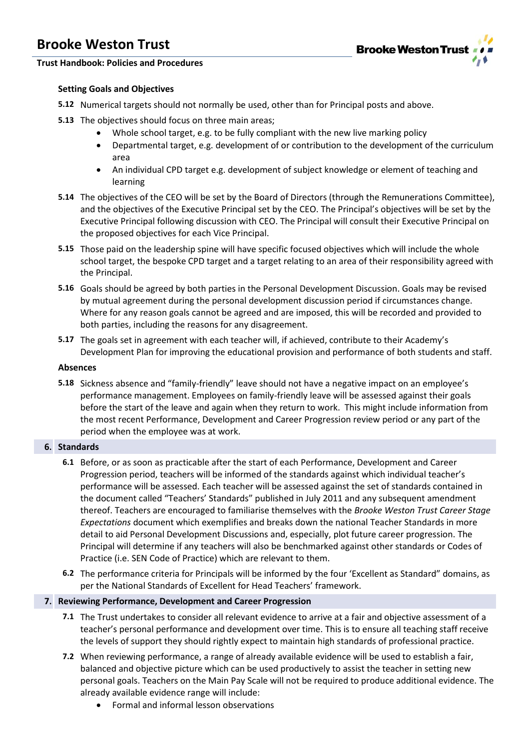

### **Trust Handbook: Policies and Procedures**

### **Setting Goals and Objectives**

- **5.12** Numerical targets should not normally be used, other than for Principal posts and above.
- **5.13** The objectives should focus on three main areas;
	- Whole school target, e.g. to be fully compliant with the new live marking policy
	- Departmental target, e.g. development of or contribution to the development of the curriculum area
	- An individual CPD target e.g. development of subject knowledge or element of teaching and learning
- **5.14** The objectives of the CEO will be set by the Board of Directors (through the Remunerations Committee), and the objectives of the Executive Principal set by the CEO. The Principal's objectives will be set by the Executive Principal following discussion with CEO. The Principal will consult their Executive Principal on the proposed objectives for each Vice Principal.
- **5.15** Those paid on the leadership spine will have specific focused objectives which will include the whole school target, the bespoke CPD target and a target relating to an area of their responsibility agreed with the Principal.
- **5.16** Goals should be agreed by both parties in the Personal Development Discussion. Goals may be revised by mutual agreement during the personal development discussion period if circumstances change. Where for any reason goals cannot be agreed and are imposed, this will be recorded and provided to both parties, including the reasons for any disagreement.
- **5.17** The goals set in agreement with each teacher will, if achieved, contribute to their Academy's Development Plan for improving the educational provision and performance of both students and staff.

#### **Absences**

**5.18** Sickness absence and "family-friendly" leave should not have a negative impact on an employee's performance management. Employees on family-friendly leave will be assessed against their goals before the start of the leave and again when they return to work. This might include information from the most recent Performance, Development and Career Progression review period or any part of the period when the employee was at work.

#### **6. Standards**

- **6.1** Before, or as soon as practicable after the start of each Performance, Development and Career Progression period, teachers will be informed of the standards against which individual teacher's performance will be assessed. Each teacher will be assessed against the set of standards contained in the document called "Teachers' Standards" published in July 2011 and any subsequent amendment thereof. Teachers are encouraged to familiarise themselves with the *Brooke Weston Trust Career Stage Expectations* document which exemplifies and breaks down the national Teacher Standards in more detail to aid Personal Development Discussions and, especially, plot future career progression. The Principal will determine if any teachers will also be benchmarked against other standards or Codes of Practice (i.e. SEN Code of Practice) which are relevant to them.
- **6.2** The performance criteria for Principals will be informed by the four 'Excellent as Standard" domains, as per the National Standards of Excellent for Head Teachers' framework.

#### **7. Reviewing Performance, Development and Career Progression**

- **7.1** The Trust undertakes to consider all relevant evidence to arrive at a fair and objective assessment of a teacher's personal performance and development over time. This is to ensure all teaching staff receive the levels of support they should rightly expect to maintain high standards of professional practice.
- **7.2** When reviewing performance, a range of already available evidence will be used to establish a fair, balanced and objective picture which can be used productively to assist the teacher in setting new personal goals. Teachers on the Main Pay Scale will not be required to produce additional evidence. The already available evidence range will include:
	- Formal and informal lesson observations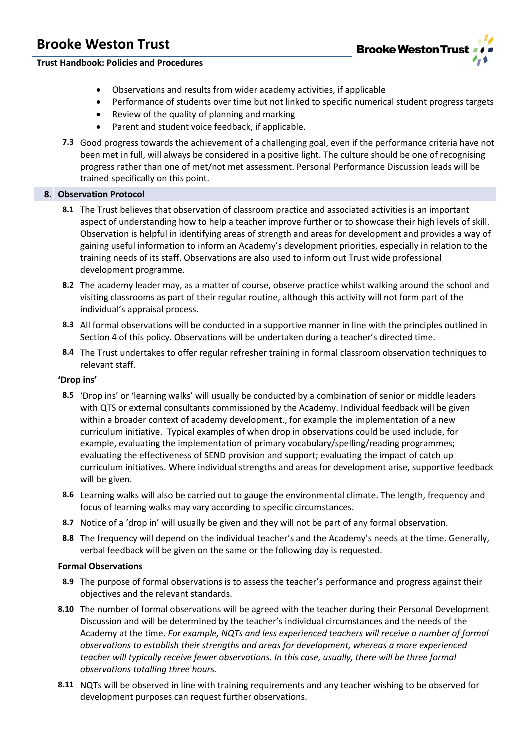

### **Trust Handbook: Policies and Procedures**

- Observations and results from wider academy activities, if applicable
- Performance of students over time but not linked to specific numerical student progress targets
- Review of the quality of planning and marking
- Parent and student voice feedback, if applicable.
- **7.3** Good progress towards the achievement of a challenging goal, even if the performance criteria have not been met in full, will always be considered in a positive light. The culture should be one of recognising progress rather than one of met/not met assessment. Personal Performance Discussion leads will be trained specifically on this point.

#### **8. Observation Protocol**

- **8.1** The Trust believes that observation of classroom practice and associated activities is an important aspect of understanding how to help a teacher improve further or to showcase their high levels of skill. Observation is helpful in identifying areas of strength and areas for development and provides a way of gaining useful information to inform an Academy's development priorities, especially in relation to the training needs of its staff. Observations are also used to inform out Trust wide professional development programme.
- **8.2** The academy leader may, as a matter of course, observe practice whilst walking around the school and visiting classrooms as part of their regular routine, although this activity will not form part of the individual's appraisal process.
- **8.3** All formal observations will be conducted in a supportive manner in line with the principles outlined in Section 4 of this policy. Observations will be undertaken during a teacher's directed time.
- **8.4** The Trust undertakes to offer regular refresher training in formal classroom observation techniques to relevant staff.

#### **'Drop ins'**

- **8.5** 'Drop ins' or 'learning walks' will usually be conducted by a combination of senior or middle leaders with QTS or external consultants commissioned by the Academy. Individual feedback will be given within a broader context of academy development., for example the implementation of a new curriculum initiative. Typical examples of when drop in observations could be used include, for example, evaluating the implementation of primary vocabulary/spelling/reading programmes; evaluating the effectiveness of SEND provision and support; evaluating the impact of catch up curriculum initiatives. Where individual strengths and areas for development arise, supportive feedback will be given.
- **8.6** Learning walks will also be carried out to gauge the environmental climate. The length, frequency and focus of learning walks may vary according to specific circumstances.
- **8.7** Notice of a 'drop in' will usually be given and they will not be part of any formal observation.
- **8.8** The frequency will depend on the individual teacher's and the Academy's needs at the time. Generally, verbal feedback will be given on the same or the following day is requested.

#### **Formal Observations**

- **8.9** The purpose of formal observations is to assess the teacher's performance and progress against their objectives and the relevant standards.
- **8.10** The number of formal observations will be agreed with the teacher during their Personal Development Discussion and will be determined by the teacher's individual circumstances and the needs of the Academy at the time. *For example, NQTs and less experienced teachers will receive a number of formal observations to establish their strengths and areas for development, whereas a more experienced teacher will typically receive fewer observations. In this case, usually, there will be three formal observations totalling three hours.*
- **8.11** NQTs will be observed in line with training requirements and any teacher wishing to be observed for development purposes can request further observations.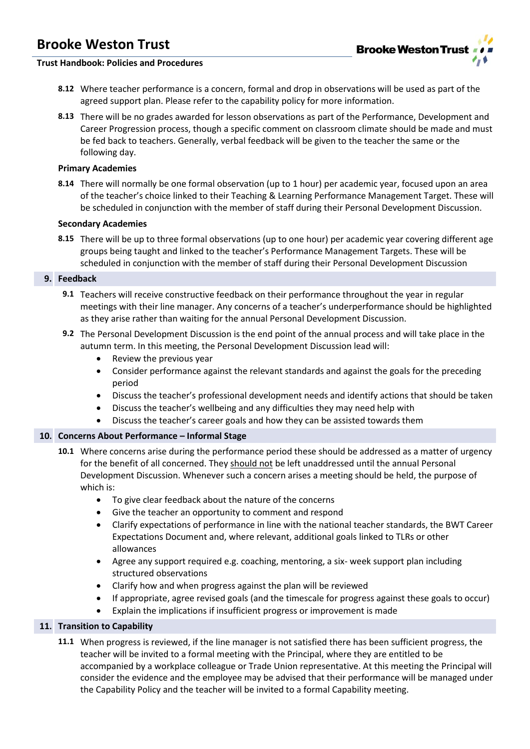

#### **Trust Handbook: Policies and Procedures**

- **8.12** Where teacher performance is a concern, formal and drop in observations will be used as part of the agreed support plan. Please refer to the capability policy for more information.
- **8.13** There will be no grades awarded for lesson observations as part of the Performance, Development and Career Progression process, though a specific comment on classroom climate should be made and must be fed back to teachers. Generally, verbal feedback will be given to the teacher the same or the following day.

#### **Primary Academies**

**8.14** There will normally be one formal observation (up to 1 hour) per academic year, focused upon an area of the teacher's choice linked to their Teaching & Learning Performance Management Target. These will be scheduled in conjunction with the member of staff during their Personal Development Discussion.

#### **Secondary Academies**

**8.15** There will be up to three formal observations (up to one hour) per academic year covering different age groups being taught and linked to the teacher's Performance Management Targets. These will be scheduled in conjunction with the member of staff during their Personal Development Discussion

#### **9. Feedback**

- **9.1** Teachers will receive constructive feedback on their performance throughout the year in regular meetings with their line manager. Any concerns of a teacher's underperformance should be highlighted as they arise rather than waiting for the annual Personal Development Discussion.
- **9.2** The Personal Development Discussion is the end point of the annual process and will take place in the autumn term. In this meeting, the Personal Development Discussion lead will:
	- Review the previous year
	- Consider performance against the relevant standards and against the goals for the preceding period
	- Discuss the teacher's professional development needs and identify actions that should be taken
	- Discuss the teacher's wellbeing and any difficulties they may need help with
	- Discuss the teacher's career goals and how they can be assisted towards them

#### **10. Concerns About Performance – Informal Stage**

- **10.1** Where concerns arise during the performance period these should be addressed as a matter of urgency for the benefit of all concerned. They should not be left unaddressed until the annual Personal Development Discussion. Whenever such a concern arises a meeting should be held, the purpose of which is:
	- To give clear feedback about the nature of the concerns
	- Give the teacher an opportunity to comment and respond
	- Clarify expectations of performance in line with the national teacher standards, the BWT Career Expectations Document and, where relevant, additional goals linked to TLRs or other allowances
	- Agree any support required e.g. coaching, mentoring, a six- week support plan including structured observations
	- Clarify how and when progress against the plan will be reviewed
	- If appropriate, agree revised goals (and the timescale for progress against these goals to occur)
	- Explain the implications if insufficient progress or improvement is made

#### **11. Transition to Capability**

**11.1** When progress is reviewed, if the line manager is not satisfied there has been sufficient progress, the teacher will be invited to a formal meeting with the Principal, where they are entitled to be accompanied by a workplace colleague or Trade Union representative. At this meeting the Principal will consider the evidence and the employee may be advised that their performance will be managed under the Capability Policy and the teacher will be invited to a formal Capability meeting.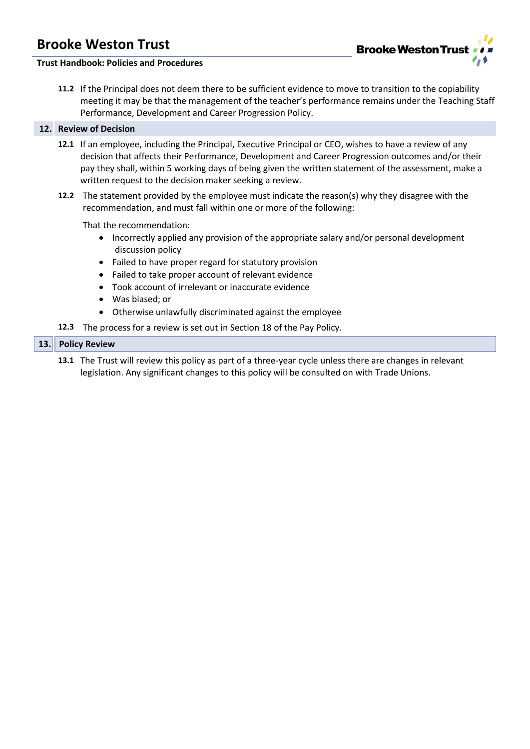

### **Trust Handbook: Policies and Procedures**

**11.2** If the Principal does not deem there to be sufficient evidence to move to transition to the copiability meeting it may be that the management of the teacher's performance remains under the Teaching Staff Performance, Development and Career Progression Policy.

#### **12. Review of Decision**

- **12.1** If an employee, including the Principal, Executive Principal or CEO, wishes to have a review of any decision that affects their Performance, Development and Career Progression outcomes and/or their pay they shall, within 5 working days of being given the written statement of the assessment, make a written request to the decision maker seeking a review.
- **12.2** The statement provided by the employee must indicate the reason(s) why they disagree with the recommendation, and must fall within one or more of the following:

That the recommendation:

- Incorrectly applied any provision of the appropriate salary and/or personal development discussion policy
- Failed to have proper regard for statutory provision
- Failed to take proper account of relevant evidence
- Took account of irrelevant or inaccurate evidence
- Was biased; or
- Otherwise unlawfully discriminated against the employee
- **12.3** The process for a review is set out in Section 18 of the Pay Policy.

#### **13. Policy Review**

**13.1** The Trust will review this policy as part of a three-year cycle unless there are changes in relevant legislation. Any significant changes to this policy will be consulted on with Trade Unions.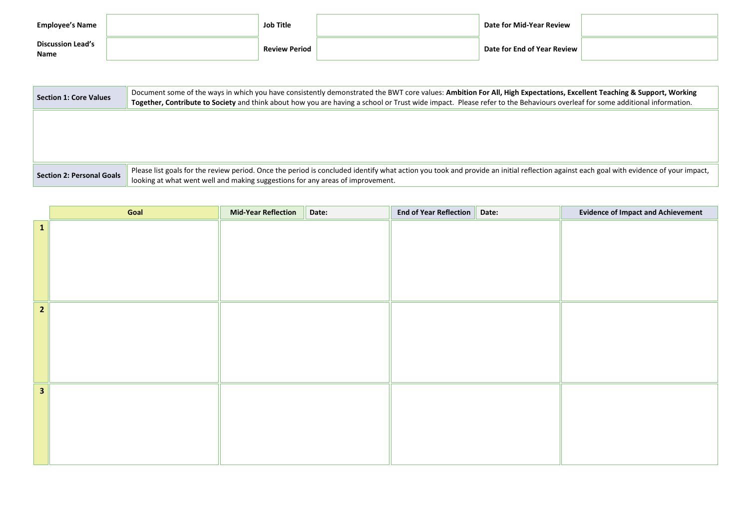| <b>Employee's Name</b>           | Job Title            | Date for Mid-Year Review                                                      |  |
|----------------------------------|----------------------|-------------------------------------------------------------------------------|--|
| <b>Discussion Lead's</b><br>Name | <b>Review Period</b> | $\overline{\phantom{a}}$ Date for End of Year Review $\overline{\phantom{a}}$ |  |

| <b>Section 1: Core Values</b>    | Document some of the ways in which you have consistently demonstrated the BWT core values: Ambition For All, High Expectations, Excellent Teaching & Support, Working<br>Together, Contribute to Society and think about how you are having a school or Trust wide impact. Please refer to the Behaviours overleaf for some additional information. |  |  |  |  |  |  |
|----------------------------------|-----------------------------------------------------------------------------------------------------------------------------------------------------------------------------------------------------------------------------------------------------------------------------------------------------------------------------------------------------|--|--|--|--|--|--|
|                                  |                                                                                                                                                                                                                                                                                                                                                     |  |  |  |  |  |  |
|                                  |                                                                                                                                                                                                                                                                                                                                                     |  |  |  |  |  |  |
|                                  |                                                                                                                                                                                                                                                                                                                                                     |  |  |  |  |  |  |
| <b>Section 2: Personal Goals</b> | Please list goals for the review period. Once the period is concluded identify what action you took and provide an initial reflection against each goal with evidence of your impact,<br>looking at what went well and making suggestions for any areas of improvement.                                                                             |  |  |  |  |  |  |

|                | Goal | <b>Mid-Year Reflection</b> | Date: | End of Year Reflection   Date: | <b>Evidence of Impact and Achievement</b> |
|----------------|------|----------------------------|-------|--------------------------------|-------------------------------------------|
| $\mathbf{1}$   |      |                            |       |                                |                                           |
|                |      |                            |       |                                |                                           |
|                |      |                            |       |                                |                                           |
|                |      |                            |       |                                |                                           |
|                |      |                            |       |                                |                                           |
| $\overline{2}$ |      |                            |       |                                |                                           |
|                |      |                            |       |                                |                                           |
|                |      |                            |       |                                |                                           |
|                |      |                            |       |                                |                                           |
|                |      |                            |       |                                |                                           |
| $\mathbf{3}$   |      |                            |       |                                |                                           |
|                |      |                            |       |                                |                                           |
|                |      |                            |       |                                |                                           |
|                |      |                            |       |                                |                                           |
|                |      |                            |       |                                |                                           |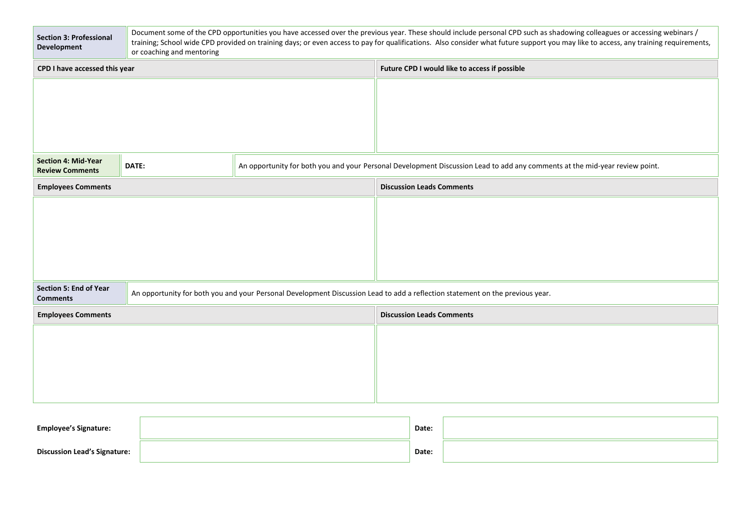| <b>Section 3: Professional</b><br><b>Development</b>                                                                                                                              | Document some of the CPD opportunities you have accessed over the previous year. These should include personal CPD such as shadowing colleagues or accessing webinars /<br>training; School wide CPD provided on training days; or even access to pay for qualifications. Also consider what future support you may like to access, any training requirements,<br>or coaching and mentoring |  |                                               |                                                                                                                             |  |  |
|-----------------------------------------------------------------------------------------------------------------------------------------------------------------------------------|---------------------------------------------------------------------------------------------------------------------------------------------------------------------------------------------------------------------------------------------------------------------------------------------------------------------------------------------------------------------------------------------|--|-----------------------------------------------|-----------------------------------------------------------------------------------------------------------------------------|--|--|
| CPD I have accessed this year                                                                                                                                                     |                                                                                                                                                                                                                                                                                                                                                                                             |  | Future CPD I would like to access if possible |                                                                                                                             |  |  |
|                                                                                                                                                                                   |                                                                                                                                                                                                                                                                                                                                                                                             |  |                                               |                                                                                                                             |  |  |
| Section 4: Mid-Year<br><b>Review Comments</b>                                                                                                                                     | DATE:                                                                                                                                                                                                                                                                                                                                                                                       |  |                                               | An opportunity for both you and your Personal Development Discussion Lead to add any comments at the mid-year review point. |  |  |
| <b>Employees Comments</b>                                                                                                                                                         |                                                                                                                                                                                                                                                                                                                                                                                             |  | <b>Discussion Leads Comments</b>              |                                                                                                                             |  |  |
|                                                                                                                                                                                   |                                                                                                                                                                                                                                                                                                                                                                                             |  |                                               |                                                                                                                             |  |  |
| <b>Section 5: End of Year</b><br>An opportunity for both you and your Personal Development Discussion Lead to add a reflection statement on the previous year.<br><b>Comments</b> |                                                                                                                                                                                                                                                                                                                                                                                             |  |                                               |                                                                                                                             |  |  |
| <b>Employees Comments</b>                                                                                                                                                         |                                                                                                                                                                                                                                                                                                                                                                                             |  |                                               | <b>Discussion Leads Comments</b>                                                                                            |  |  |
|                                                                                                                                                                                   |                                                                                                                                                                                                                                                                                                                                                                                             |  |                                               |                                                                                                                             |  |  |
|                                                                                                                                                                                   |                                                                                                                                                                                                                                                                                                                                                                                             |  |                                               |                                                                                                                             |  |  |
| <b>Employee's Signature:</b>                                                                                                                                                      |                                                                                                                                                                                                                                                                                                                                                                                             |  |                                               | Date:                                                                                                                       |  |  |
| <b>Discussion Lead's Signature:</b>                                                                                                                                               |                                                                                                                                                                                                                                                                                                                                                                                             |  |                                               | Date:                                                                                                                       |  |  |